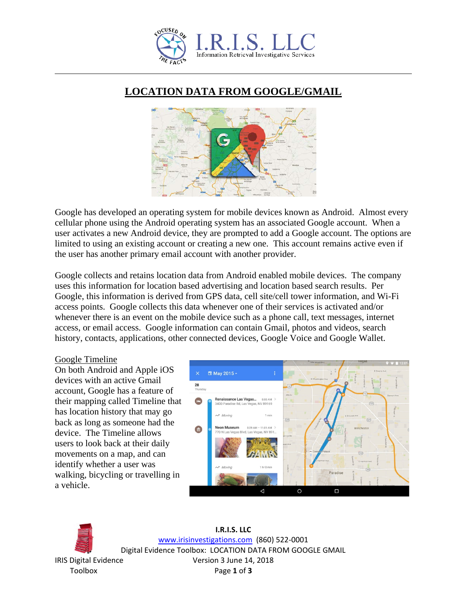

## **LOCATION DATA FROM GOOGLE/GMAIL**



Google has developed an operating system for mobile devices known as Android. Almost every cellular phone using the Android operating system has an associated Google account. When a user activates a new Android device, they are prompted to add a Google account. The options are limited to using an existing account or creating a new one. This account remains active even if the user has another primary email account with another provider.

Google collects and retains location data from Android enabled mobile devices. The company uses this information for location based advertising and location based search results. Per Google, this information is derived from GPS data, cell site/cell tower information, and Wi-Fi access points. Google collects this data whenever one of their services is activated and/or whenever there is an event on the mobile device such as a phone call, text messages, internet access, or email access. Google information can contain Gmail, photos and videos, search history, contacts, applications, other connected devices, Google Voice and Google Wallet.

## Google Timeline

On both Android and Apple iOS devices with an active Gmail account, Google has a feature of their mapping called Timeline that has location history that may go back as long as someone had the device. The Timeline allows users to look back at their daily movements on a map, and can identify whether a user was walking, bicycling or travelling in a vehicle.





**I.R.I.S. LLC** [www.irisinvestigations.com](http://www.irisinvestigations.com/) (860) 522-0001 Digital Evidence Toolbox: LOCATION DATA FROM GOOGLE GMAIL IRIS Digital Evidence Version 3 June 14, 2018 Toolbox Page **1** of **3**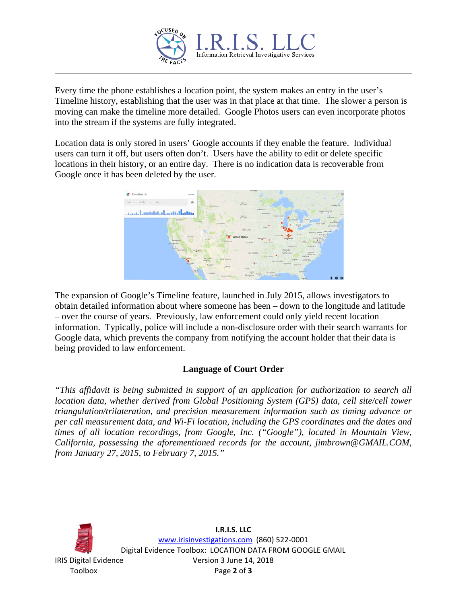

Every time the phone establishes a location point, the system makes an entry in the user's Timeline history, establishing that the user was in that place at that time. The slower a person is moving can make the timeline more detailed. Google Photos users can even incorporate photos into the stream if the systems are fully integrated.

Location data is only stored in users' Google accounts if they enable the feature. Individual users can turn it off, but users often don't. Users have the ability to edit or delete specific locations in their history, or an entire day. There is no indication data is recoverable from Google once it has been deleted by the user.



The expansion of Google's Timeline feature, launched in July 2015, allows investigators to obtain detailed information about where someone has been – down to the longitude and latitude – over the course of years. Previously, law enforcement could only yield recent location information. Typically, police will include a non-disclosure order with their search warrants for Google data, which prevents the company from notifying the account holder that their data is being provided to law enforcement.

## **Language of Court Order**

*"This affidavit is being submitted in support of an application for authorization to search all location data, whether derived from Global Positioning System (GPS) data, cell site/cell tower triangulation/trilateration, and precision measurement information such as timing advance or per call measurement data, and Wi-Fi location, including the GPS coordinates and the dates and times of all location recordings, from Google, Inc. ("Google"), located in Mountain View, California, possessing the aforementioned records for the account, jimbrown@GMAIL.COM, from January 27, 2015, to February 7, 2015."*